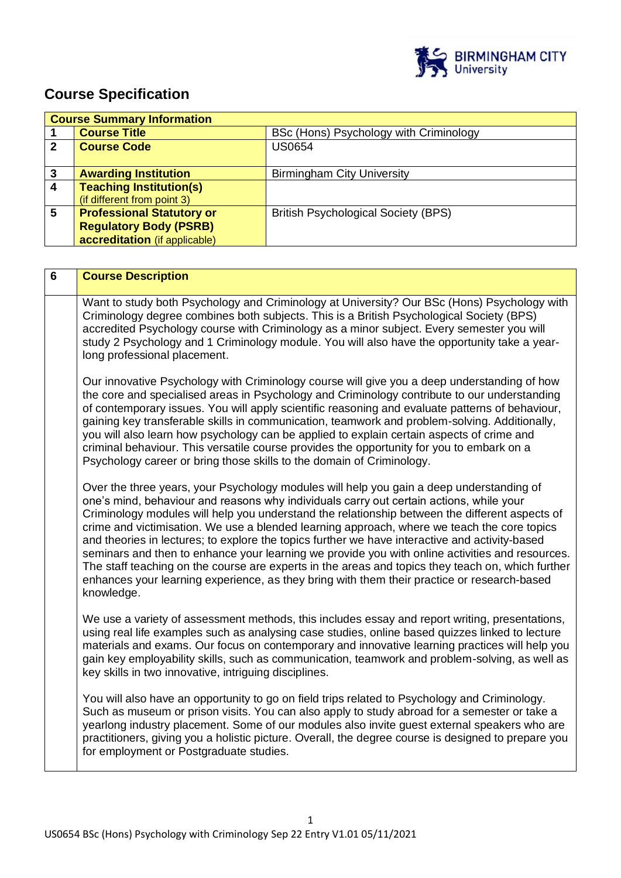

# **Course Specification**

| <b>Course Summary Information</b> |                                  |                                            |
|-----------------------------------|----------------------------------|--------------------------------------------|
|                                   | <b>Course Title</b>              | BSc (Hons) Psychology with Criminology     |
| 2                                 | <b>Course Code</b>               | <b>US0654</b>                              |
|                                   |                                  |                                            |
| 3                                 | <b>Awarding Institution</b>      | <b>Birmingham City University</b>          |
| 4                                 | <b>Teaching Institution(s)</b>   |                                            |
|                                   | (if different from point 3)      |                                            |
| 5                                 | <b>Professional Statutory or</b> | <b>British Psychological Society (BPS)</b> |
|                                   | <b>Regulatory Body (PSRB)</b>    |                                            |
|                                   | accreditation (if applicable)    |                                            |

| $6\phantom{1}$ | <b>Course Description</b>                                                                                                                                                                                                                                                                                                                                                                                                                                                                                                                                                                                                                                                                                                                                                                                   |
|----------------|-------------------------------------------------------------------------------------------------------------------------------------------------------------------------------------------------------------------------------------------------------------------------------------------------------------------------------------------------------------------------------------------------------------------------------------------------------------------------------------------------------------------------------------------------------------------------------------------------------------------------------------------------------------------------------------------------------------------------------------------------------------------------------------------------------------|
|                | Want to study both Psychology and Criminology at University? Our BSc (Hons) Psychology with<br>Criminology degree combines both subjects. This is a British Psychological Society (BPS)<br>accredited Psychology course with Criminology as a minor subject. Every semester you will<br>study 2 Psychology and 1 Criminology module. You will also have the opportunity take a year-<br>long professional placement.                                                                                                                                                                                                                                                                                                                                                                                        |
|                | Our innovative Psychology with Criminology course will give you a deep understanding of how<br>the core and specialised areas in Psychology and Criminology contribute to our understanding<br>of contemporary issues. You will apply scientific reasoning and evaluate patterns of behaviour,<br>gaining key transferable skills in communication, teamwork and problem-solving. Additionally,<br>you will also learn how psychology can be applied to explain certain aspects of crime and<br>criminal behaviour. This versatile course provides the opportunity for you to embark on a<br>Psychology career or bring those skills to the domain of Criminology.                                                                                                                                          |
|                | Over the three years, your Psychology modules will help you gain a deep understanding of<br>one's mind, behaviour and reasons why individuals carry out certain actions, while your<br>Criminology modules will help you understand the relationship between the different aspects of<br>crime and victimisation. We use a blended learning approach, where we teach the core topics<br>and theories in lectures; to explore the topics further we have interactive and activity-based<br>seminars and then to enhance your learning we provide you with online activities and resources.<br>The staff teaching on the course are experts in the areas and topics they teach on, which further<br>enhances your learning experience, as they bring with them their practice or research-based<br>knowledge. |
|                | We use a variety of assessment methods, this includes essay and report writing, presentations,<br>using real life examples such as analysing case studies, online based quizzes linked to lecture<br>materials and exams. Our focus on contemporary and innovative learning practices will help you<br>gain key employability skills, such as communication, teamwork and problem-solving, as well as<br>key skills in two innovative, intriguing disciplines.                                                                                                                                                                                                                                                                                                                                              |
|                | You will also have an opportunity to go on field trips related to Psychology and Criminology.<br>Such as museum or prison visits. You can also apply to study abroad for a semester or take a<br>yearlong industry placement. Some of our modules also invite guest external speakers who are<br>practitioners, giving you a holistic picture. Overall, the degree course is designed to prepare you<br>for employment or Postgraduate studies.                                                                                                                                                                                                                                                                                                                                                             |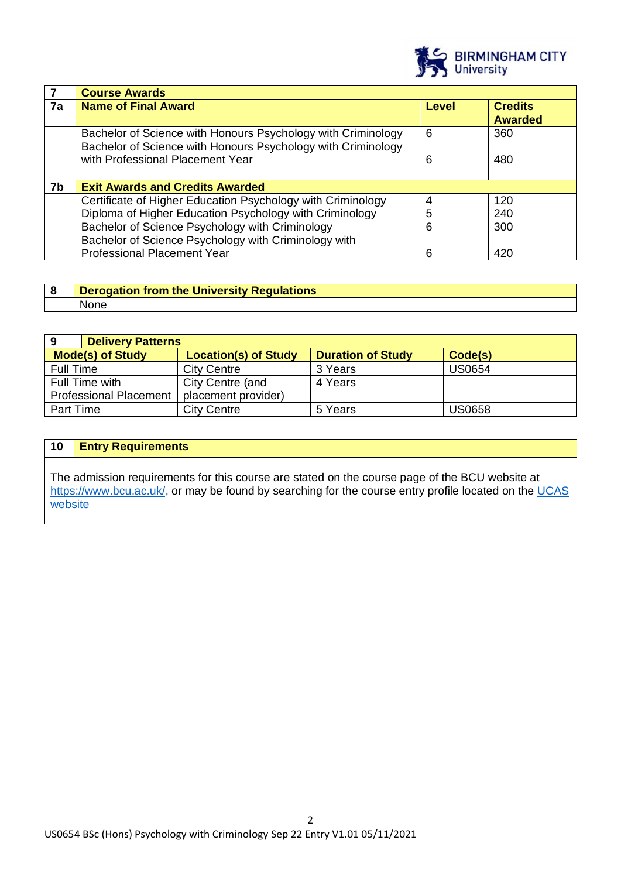

|    | <b>Course Awards</b>                                                                                                         |       |                                  |
|----|------------------------------------------------------------------------------------------------------------------------------|-------|----------------------------------|
| 7a | <b>Name of Final Award</b>                                                                                                   | Level | <b>Credits</b><br><b>Awarded</b> |
|    | Bachelor of Science with Honours Psychology with Criminology<br>Bachelor of Science with Honours Psychology with Criminology | 6     | 360                              |
|    | with Professional Placement Year                                                                                             | 6     | 480                              |
| 7b | <b>Exit Awards and Credits Awarded</b>                                                                                       |       |                                  |
|    | Certificate of Higher Education Psychology with Criminology                                                                  | 4     | 120                              |
|    | Diploma of Higher Education Psychology with Criminology                                                                      | 5     | 240                              |
|    | Bachelor of Science Psychology with Criminology                                                                              | 6     | 300                              |
|    | Bachelor of Science Psychology with Criminology with                                                                         |       |                                  |
|    | <b>Professional Placement Year</b>                                                                                           | 6     | 420                              |

| <b>Derogation from the University Regulations</b> |
|---------------------------------------------------|
| <b>None</b>                                       |

| 9<br><b>Delivery Patterns</b> |                             |                          |               |
|-------------------------------|-----------------------------|--------------------------|---------------|
| <b>Mode(s) of Study</b>       | <b>Location(s) of Study</b> | <b>Duration of Study</b> | Code(s)       |
| <b>Full Time</b>              | <b>City Centre</b>          | 3 Years                  | <b>US0654</b> |
| Full Time with                | City Centre (and            | 4 Years                  |               |
| <b>Professional Placement</b> | placement provider)         |                          |               |
| Part Time                     | <b>City Centre</b>          | 5 Years                  | <b>US0658</b> |

# **10 Entry Requirements**

The admission requirements for this course are stated on the course page of the BCU website at [https://www.bcu.ac.uk/,](https://www.bcu.ac.uk/) or may be found by searching for the course entry profile located on the UCAS [website](https://www.ucas.com/)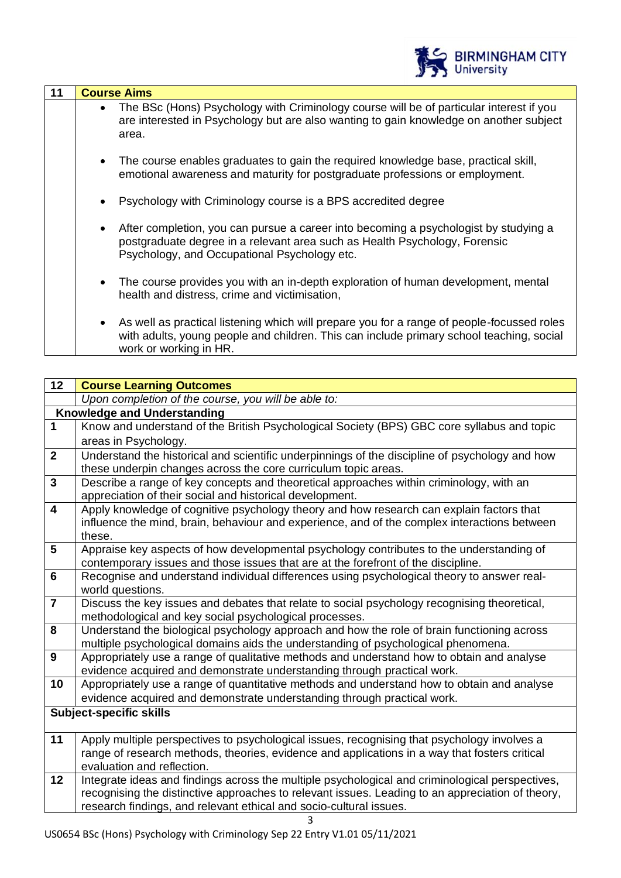|    | <b>BIRMINGHAM CITY</b><br>University                                                                                                                                                                                            |
|----|---------------------------------------------------------------------------------------------------------------------------------------------------------------------------------------------------------------------------------|
| 11 | <b>Course Aims</b>                                                                                                                                                                                                              |
|    | The BSc (Hons) Psychology with Criminology course will be of particular interest if you<br>$\bullet$<br>are interested in Psychology but are also wanting to gain knowledge on another subject<br>area.                         |
|    | The course enables graduates to gain the required knowledge base, practical skill,<br>$\bullet$<br>emotional awareness and maturity for postgraduate professions or employment.                                                 |
|    | Psychology with Criminology course is a BPS accredited degree                                                                                                                                                                   |
|    | After completion, you can pursue a career into becoming a psychologist by studying a<br>$\bullet$<br>postgraduate degree in a relevant area such as Health Psychology, Forensic<br>Psychology, and Occupational Psychology etc. |
|    | The course provides you with an in-depth exploration of human development, mental<br>$\bullet$<br>health and distress, crime and victimisation,                                                                                 |
|    | As well as practical listening which will prepare you for a range of people-focussed roles<br>with adults, young people and children. This can include primary school teaching, social<br>work or working in HR.                |

| 12                      | <b>Course Learning Outcomes</b>                                                                                                                                  |  |
|-------------------------|------------------------------------------------------------------------------------------------------------------------------------------------------------------|--|
|                         | Upon completion of the course, you will be able to:                                                                                                              |  |
|                         | <b>Knowledge and Understanding</b>                                                                                                                               |  |
| $\mathbf{1}$            | Know and understand of the British Psychological Society (BPS) GBC core syllabus and topic                                                                       |  |
|                         | areas in Psychology.                                                                                                                                             |  |
| $\mathbf{2}$            | Understand the historical and scientific underpinnings of the discipline of psychology and how<br>these underpin changes across the core curriculum topic areas. |  |
| $\overline{\mathbf{3}}$ | Describe a range of key concepts and theoretical approaches within criminology, with an                                                                          |  |
|                         | appreciation of their social and historical development.                                                                                                         |  |
| $\overline{\mathbf{4}}$ | Apply knowledge of cognitive psychology theory and how research can explain factors that                                                                         |  |
|                         | influence the mind, brain, behaviour and experience, and of the complex interactions between<br>these.                                                           |  |
| 5                       | Appraise key aspects of how developmental psychology contributes to the understanding of                                                                         |  |
|                         | contemporary issues and those issues that are at the forefront of the discipline.                                                                                |  |
| $6\phantom{1}$          | Recognise and understand individual differences using psychological theory to answer real-                                                                       |  |
|                         | world questions.                                                                                                                                                 |  |
| $\overline{\mathbf{7}}$ | Discuss the key issues and debates that relate to social psychology recognising theoretical,                                                                     |  |
|                         | methodological and key social psychological processes.                                                                                                           |  |
| 8                       | Understand the biological psychology approach and how the role of brain functioning across                                                                       |  |
|                         | multiple psychological domains aids the understanding of psychological phenomena.                                                                                |  |
| 9                       | Appropriately use a range of qualitative methods and understand how to obtain and analyse                                                                        |  |
|                         | evidence acquired and demonstrate understanding through practical work.                                                                                          |  |
| 10                      | Appropriately use a range of quantitative methods and understand how to obtain and analyse                                                                       |  |
|                         | evidence acquired and demonstrate understanding through practical work.                                                                                          |  |
|                         | <b>Subject-specific skills</b>                                                                                                                                   |  |
| 11                      | Apply multiple perspectives to psychological issues, recognising that psychology involves a                                                                      |  |
|                         | range of research methods, theories, evidence and applications in a way that fosters critical                                                                    |  |
|                         | evaluation and reflection.                                                                                                                                       |  |
| 12                      | Integrate ideas and findings across the multiple psychological and criminological perspectives,                                                                  |  |
|                         | recognising the distinctive approaches to relevant issues. Leading to an appreciation of theory,                                                                 |  |
|                         | research findings, and relevant ethical and socio-cultural issues.                                                                                               |  |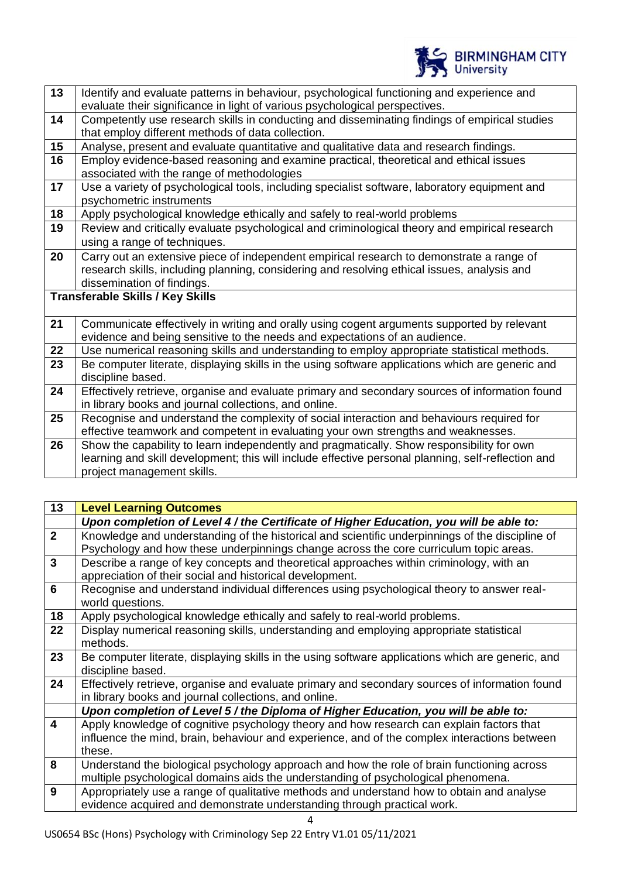

| $\overline{13}$ | Identify and evaluate patterns in behaviour, psychological functioning and experience and          |
|-----------------|----------------------------------------------------------------------------------------------------|
|                 | evaluate their significance in light of various psychological perspectives.                        |
| 14              | Competently use research skills in conducting and disseminating findings of empirical studies      |
|                 | that employ different methods of data collection.                                                  |
| 15              | Analyse, present and evaluate quantitative and qualitative data and research findings.             |
| 16              | Employ evidence-based reasoning and examine practical, theoretical and ethical issues              |
|                 | associated with the range of methodologies                                                         |
| 17              | Use a variety of psychological tools, including specialist software, laboratory equipment and      |
|                 | psychometric instruments                                                                           |
| 18              | Apply psychological knowledge ethically and safely to real-world problems                          |
| 19              | Review and critically evaluate psychological and criminological theory and empirical research      |
|                 | using a range of techniques.                                                                       |
| 20              | Carry out an extensive piece of independent empirical research to demonstrate a range of           |
|                 | research skills, including planning, considering and resolving ethical issues, analysis and        |
|                 | dissemination of findings.                                                                         |
|                 | <b>Transferable Skills / Key Skills</b>                                                            |
|                 |                                                                                                    |
| 21              | Communicate effectively in writing and orally using cogent arguments supported by relevant         |
|                 | evidence and being sensitive to the needs and expectations of an audience.                         |
| 22              | Use numerical reasoning skills and understanding to employ appropriate statistical methods.        |
| 23              | Be computer literate, displaying skills in the using software applications which are generic and   |
|                 | discipline based.                                                                                  |
| 24              | Effectively retrieve, organise and evaluate primary and secondary sources of information found     |
|                 | in library books and journal collections, and online.                                              |
| 25              | Recognise and understand the complexity of social interaction and behaviours required for          |
|                 | effective teamwork and competent in evaluating your own strengths and weaknesses.                  |
| 26              | Show the capability to learn independently and pragmatically. Show responsibility for own          |
|                 | learning and skill development; this will include effective personal planning, self-reflection and |
|                 | project management skills.                                                                         |
|                 |                                                                                                    |

| 13             | <b>Level Learning Outcomes</b>                                                                                                                          |
|----------------|---------------------------------------------------------------------------------------------------------------------------------------------------------|
|                | Upon completion of Level 4 / the Certificate of Higher Education, you will be able to:                                                                  |
| $\overline{2}$ | Knowledge and understanding of the historical and scientific underpinnings of the discipline of                                                         |
|                | Psychology and how these underpinnings change across the core curriculum topic areas.                                                                   |
| $\overline{3}$ | Describe a range of key concepts and theoretical approaches within criminology, with an                                                                 |
|                | appreciation of their social and historical development.                                                                                                |
| 6              | Recognise and understand individual differences using psychological theory to answer real-<br>world questions.                                          |
| 18             | Apply psychological knowledge ethically and safely to real-world problems.                                                                              |
| 22             | Display numerical reasoning skills, understanding and employing appropriate statistical                                                                 |
|                | methods.                                                                                                                                                |
| 23             | Be computer literate, displaying skills in the using software applications which are generic, and<br>discipline based.                                  |
| 24             | Effectively retrieve, organise and evaluate primary and secondary sources of information found<br>in library books and journal collections, and online. |
|                | Upon completion of Level 5 / the Diploma of Higher Education, you will be able to:                                                                      |
| 4              | Apply knowledge of cognitive psychology theory and how research can explain factors that                                                                |
|                | influence the mind, brain, behaviour and experience, and of the complex interactions between                                                            |
|                | these.                                                                                                                                                  |
| 8              | Understand the biological psychology approach and how the role of brain functioning across                                                              |
|                | multiple psychological domains aids the understanding of psychological phenomena.                                                                       |
| 9              | Appropriately use a range of qualitative methods and understand how to obtain and analyse                                                               |
|                | evidence acquired and demonstrate understanding through practical work.                                                                                 |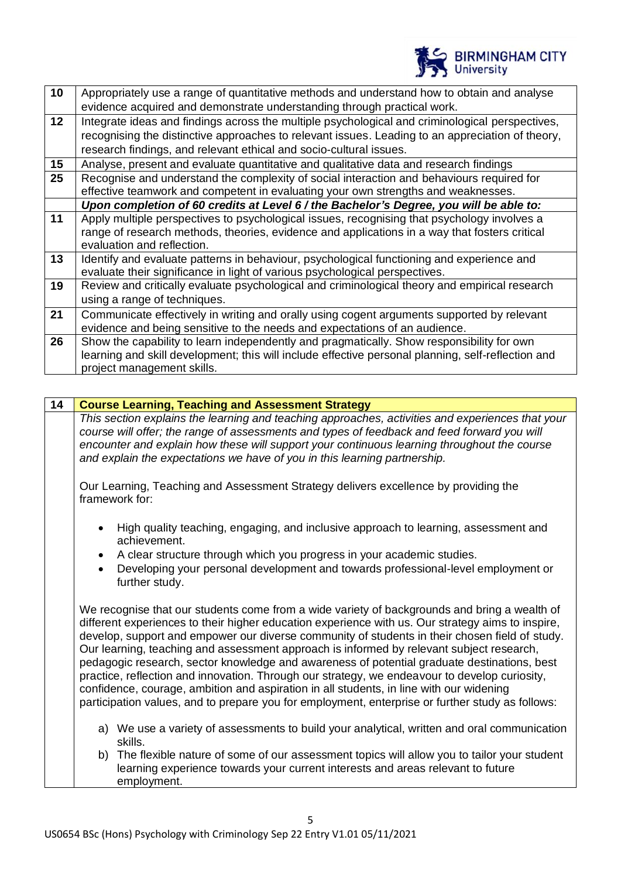

| 10      | Appropriately use a range of quantitative methods and understand how to obtain and analyse         |
|---------|----------------------------------------------------------------------------------------------------|
|         | evidence acquired and demonstrate understanding through practical work.                            |
| $12 \,$ | Integrate ideas and findings across the multiple psychological and criminological perspectives,    |
|         | recognising the distinctive approaches to relevant issues. Leading to an appreciation of theory,   |
|         | research findings, and relevant ethical and socio-cultural issues.                                 |
| 15      | Analyse, present and evaluate quantitative and qualitative data and research findings              |
| 25      | Recognise and understand the complexity of social interaction and behaviours required for          |
|         | effective teamwork and competent in evaluating your own strengths and weaknesses.                  |
|         | Upon completion of 60 credits at Level 6 / the Bachelor's Degree, you will be able to:             |
| 11      | Apply multiple perspectives to psychological issues, recognising that psychology involves a        |
|         | range of research methods, theories, evidence and applications in a way that fosters critical      |
|         | evaluation and reflection.                                                                         |
| 13      | Identify and evaluate patterns in behaviour, psychological functioning and experience and          |
|         | evaluate their significance in light of various psychological perspectives.                        |
| 19      | Review and critically evaluate psychological and criminological theory and empirical research      |
|         | using a range of techniques.                                                                       |
| 21      | Communicate effectively in writing and orally using cogent arguments supported by relevant         |
|         | evidence and being sensitive to the needs and expectations of an audience.                         |
| 26      | Show the capability to learn independently and pragmatically. Show responsibility for own          |
|         | learning and skill development; this will include effective personal planning, self-reflection and |
|         | project management skills.                                                                         |
|         |                                                                                                    |

| <b>Course Learning, Teaching and Assessment Strategy</b>                                                                                                                                                                                                                                                                                                                                                                                                                                                                                                                                                                                                                                                                                                                                       |  |
|------------------------------------------------------------------------------------------------------------------------------------------------------------------------------------------------------------------------------------------------------------------------------------------------------------------------------------------------------------------------------------------------------------------------------------------------------------------------------------------------------------------------------------------------------------------------------------------------------------------------------------------------------------------------------------------------------------------------------------------------------------------------------------------------|--|
| This section explains the learning and teaching approaches, activities and experiences that your<br>course will offer; the range of assessments and types of feedback and feed forward you will                                                                                                                                                                                                                                                                                                                                                                                                                                                                                                                                                                                                |  |
| encounter and explain how these will support your continuous learning throughout the course<br>and explain the expectations we have of you in this learning partnership.                                                                                                                                                                                                                                                                                                                                                                                                                                                                                                                                                                                                                       |  |
| Our Learning, Teaching and Assessment Strategy delivers excellence by providing the<br>framework for:                                                                                                                                                                                                                                                                                                                                                                                                                                                                                                                                                                                                                                                                                          |  |
| High quality teaching, engaging, and inclusive approach to learning, assessment and<br>achievement.                                                                                                                                                                                                                                                                                                                                                                                                                                                                                                                                                                                                                                                                                            |  |
| A clear structure through which you progress in your academic studies.<br>$\bullet$                                                                                                                                                                                                                                                                                                                                                                                                                                                                                                                                                                                                                                                                                                            |  |
| Developing your personal development and towards professional-level employment or<br>further study.                                                                                                                                                                                                                                                                                                                                                                                                                                                                                                                                                                                                                                                                                            |  |
| We recognise that our students come from a wide variety of backgrounds and bring a wealth of<br>different experiences to their higher education experience with us. Our strategy aims to inspire,<br>develop, support and empower our diverse community of students in their chosen field of study.<br>Our learning, teaching and assessment approach is informed by relevant subject research,<br>pedagogic research, sector knowledge and awareness of potential graduate destinations, best<br>practice, reflection and innovation. Through our strategy, we endeavour to develop curiosity,<br>confidence, courage, ambition and aspiration in all students, in line with our widening<br>participation values, and to prepare you for employment, enterprise or further study as follows: |  |
| a) We use a variety of assessments to build your analytical, written and oral communication<br>skills.                                                                                                                                                                                                                                                                                                                                                                                                                                                                                                                                                                                                                                                                                         |  |
| b) The flexible nature of some of our assessment topics will allow you to tailor your student<br>learning experience towards your current interests and areas relevant to future<br>employment.                                                                                                                                                                                                                                                                                                                                                                                                                                                                                                                                                                                                |  |
|                                                                                                                                                                                                                                                                                                                                                                                                                                                                                                                                                                                                                                                                                                                                                                                                |  |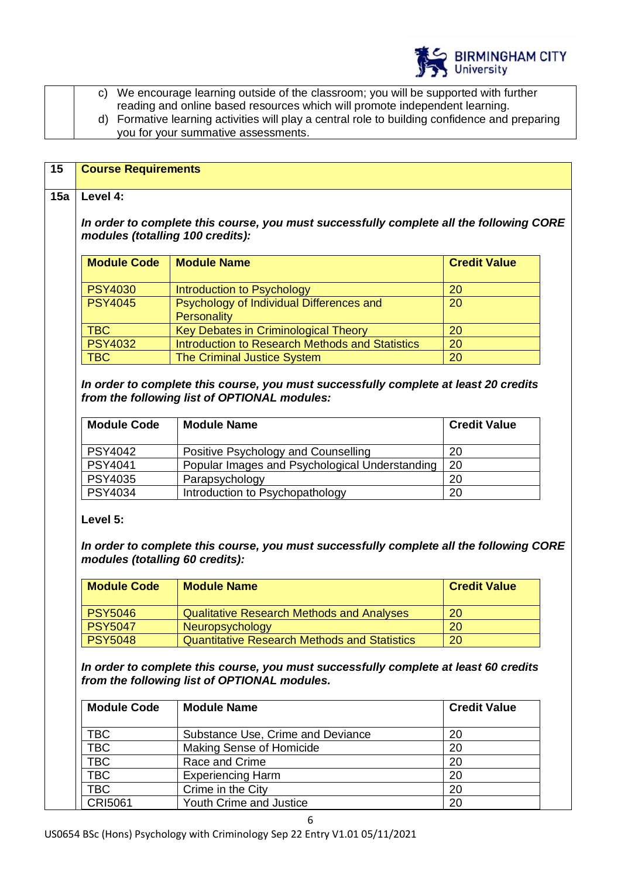

|  | c) We encourage learning outside of the classroom; you will be supported with further          |
|--|------------------------------------------------------------------------------------------------|
|  | reading and online based resources which will promote independent learning.                    |
|  | d) Formative learning activities will play a central role to building confidence and preparing |
|  | you for your summative assessments.                                                            |

| modules (totalling 100 credits):<br><b>Module Code</b><br><b>PSY4030</b><br><b>PSY4045</b><br><b>TBC</b> | In order to complete this course, you must successfully complete all the following CORE<br><b>Module Name</b><br>Introduction to Psychology | <b>Credit Value</b> |
|----------------------------------------------------------------------------------------------------------|---------------------------------------------------------------------------------------------------------------------------------------------|---------------------|
|                                                                                                          |                                                                                                                                             |                     |
|                                                                                                          |                                                                                                                                             |                     |
|                                                                                                          |                                                                                                                                             | 20                  |
|                                                                                                          | Psychology of Individual Differences and<br>Personality                                                                                     | 20                  |
|                                                                                                          | Key Debates in Criminological Theory                                                                                                        | 20                  |
| <b>PSY4032</b>                                                                                           | <b>Introduction to Research Methods and Statistics</b>                                                                                      | 20                  |
| <b>TBC</b>                                                                                               | <b>The Criminal Justice System</b>                                                                                                          | 20                  |
| <b>PSY4042</b>                                                                                           | Positive Psychology and Counselling                                                                                                         | 20                  |
| <b>Module Code</b>                                                                                       | <b>Module Name</b>                                                                                                                          | <b>Credit Value</b> |
|                                                                                                          |                                                                                                                                             |                     |
| PSY4041                                                                                                  | Popular Images and Psychological Understanding                                                                                              | 20                  |
| <b>PSY4035</b>                                                                                           | Parapsychology                                                                                                                              | 20                  |
|                                                                                                          |                                                                                                                                             |                     |
| PSY4034<br>Level 5:                                                                                      | Introduction to Psychopathology                                                                                                             | 20                  |
| modules (totalling 60 credits):<br><b>Module Code</b>                                                    | In order to complete this course, you must successfully complete all the following CORE<br><b>Module Name</b>                               | <b>Credit Value</b> |
|                                                                                                          |                                                                                                                                             |                     |
| <b>PSY5046</b><br><b>PSY5047</b>                                                                         | <b>Qualitative Research Methods and Analyses</b><br>Neuropsychology                                                                         | 20<br>20            |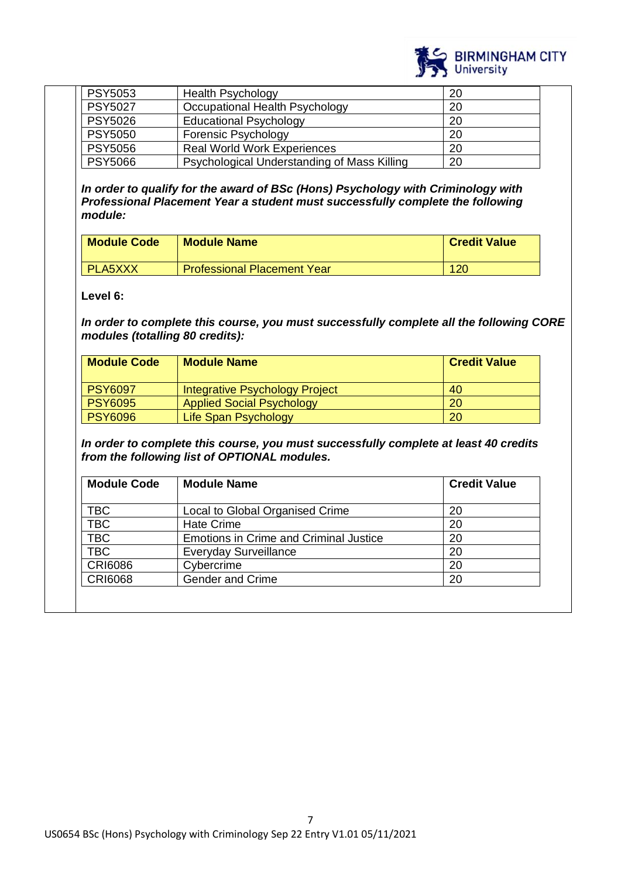

| <b>PSY5053</b> | <b>Health Psychology</b>                    | 20  |
|----------------|---------------------------------------------|-----|
| <b>PSY5027</b> | Occupational Health Psychology              | 20  |
| <b>PSY5026</b> | <b>Educational Psychology</b>               | 20  |
| <b>PSY5050</b> | <b>Forensic Psychology</b>                  | -20 |
| <b>PSY5056</b> | <b>Real World Work Experiences</b>          | 20  |
| <b>PSY5066</b> | Psychological Understanding of Mass Killing | 20  |

*In order to qualify for the award of BSc (Hons) Psychology with Criminology with Professional Placement Year a student must successfully complete the following module:*

| <b>Module Code</b> | <b>Module Name</b>                 | <b>Credit Value</b> |
|--------------------|------------------------------------|---------------------|
| I PLA5XXX          | <b>Professional Placement Year</b> | 120                 |

**Level 6:**

*In order to complete this course, you must successfully complete all the following CORE modules (totalling 80 credits):*

| <b>Module Code</b> | <b>Module Name</b>               | <b>Credit Value</b> |
|--------------------|----------------------------------|---------------------|
| <b>PSY6097</b>     | Integrative Psychology Project   | 40                  |
| <b>PSY6095</b>     | <b>Applied Social Psychology</b> | 20                  |
| <b>PSY6096</b>     | Life Span Psychology             | 20                  |

*In order to complete this course, you must successfully complete at least 40 credits from the following list of OPTIONAL modules.* 

| <b>Module Code</b> | <b>Module Name</b>                            | <b>Credit Value</b> |
|--------------------|-----------------------------------------------|---------------------|
|                    |                                               |                     |
| TBC                | Local to Global Organised Crime               | 20                  |
| TBC                | <b>Hate Crime</b>                             | 20                  |
| TBC                | <b>Emotions in Crime and Criminal Justice</b> | 20                  |
| TBC                | <b>Everyday Surveillance</b>                  | 20                  |
| <b>CRI6086</b>     | Cybercrime                                    | 20                  |
| <b>CRI6068</b>     | <b>Gender and Crime</b>                       | 20                  |
|                    |                                               |                     |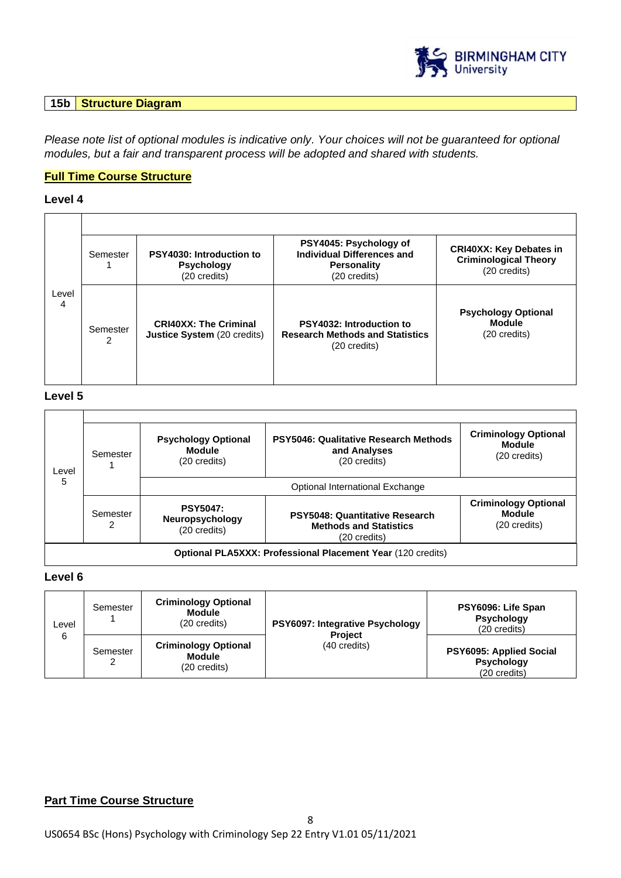

## **15b Structure Diagram**

*Please note list of optional modules is indicative only. Your choices will not be guaranteed for optional modules, but a fair and transparent process will be adopted and shared with students.*

# **Full Time Course Structure**

# **Level 4**

|            | Semester      | <b>PSY4030: Introduction to</b><br><b>Psychology</b><br>(20 credits) | PSY4045: Psychology of<br><b>Individual Differences and</b><br><b>Personality</b><br>(20 credits) | <b>CRI40XX: Key Debates in</b><br><b>Criminological Theory</b><br>(20 credits) |
|------------|---------------|----------------------------------------------------------------------|---------------------------------------------------------------------------------------------------|--------------------------------------------------------------------------------|
| Level<br>4 | Semester<br>2 | <b>CRI40XX: The Criminal</b><br><b>Justice System</b> (20 credits)   | <b>PSY4032: Introduction to</b><br><b>Research Methods and Statistics</b><br>(20 credits)         | <b>Psychology Optional</b><br><b>Module</b><br>(20 credits)                    |

## **Level 5**

| Level | Semester                                                           | <b>Psychology Optional</b><br><b>Module</b><br>(20 credits) | PSY5046: Qualitative Research Methods<br>and Analyses<br>(20 credits)           | <b>Criminology Optional</b><br><b>Module</b><br>(20 credits) |  |
|-------|--------------------------------------------------------------------|-------------------------------------------------------------|---------------------------------------------------------------------------------|--------------------------------------------------------------|--|
| 5     |                                                                    | Optional International Exchange                             |                                                                                 |                                                              |  |
|       | Semester                                                           | <b>PSY5047:</b><br>Neuropsychology<br>(20 credits)          | PSY5048: Quantitative Research<br><b>Methods and Statistics</b><br>(20 credits) | <b>Criminology Optional</b><br><b>Module</b><br>(20 credits) |  |
|       | <b>Optional PLA5XXX: Professional Placement Year (120 credits)</b> |                                                             |                                                                                 |                                                              |  |

## **Level 6**

| Level | Semester | <b>Criminology Optional</b><br><b>Module</b><br>(20 credits) | <b>PSY6097: Integrative Psychology</b><br><b>Project</b><br>(40 credits) | PSY6096: Life Span<br><b>Psychology</b><br>(20 credits)      |
|-------|----------|--------------------------------------------------------------|--------------------------------------------------------------------------|--------------------------------------------------------------|
| 6     | Semester | <b>Criminology Optional</b><br><b>Module</b><br>(20 credits) |                                                                          | PSY6095: Applied Social<br><b>Psychology</b><br>(20 credits) |

# **Part Time Course Structure**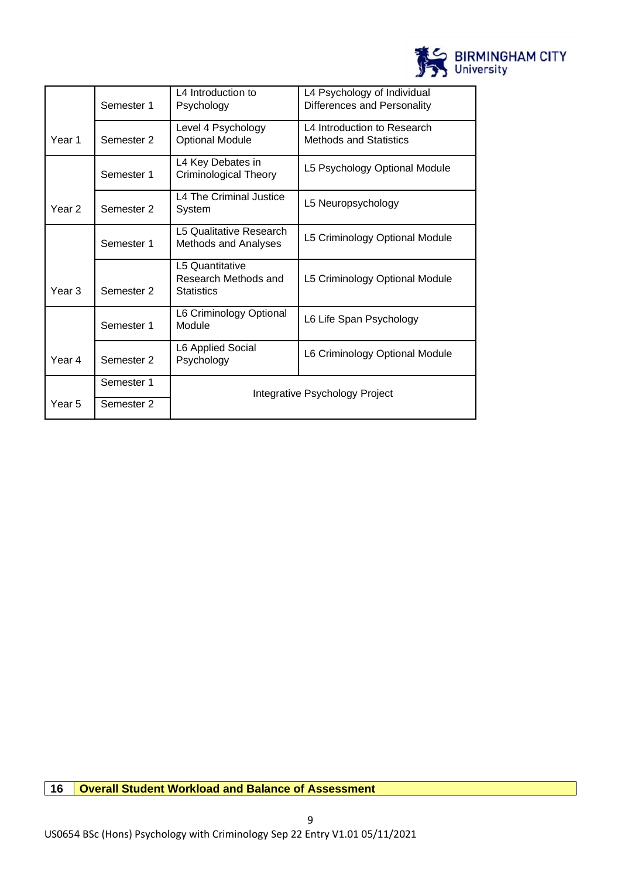

|        | Semester 1 | L4 Introduction to<br>Psychology                             | L4 Psychology of Individual<br>Differences and Personality   |  |
|--------|------------|--------------------------------------------------------------|--------------------------------------------------------------|--|
| Year 1 | Semester 2 | Level 4 Psychology<br><b>Optional Module</b>                 | L4 Introduction to Research<br><b>Methods and Statistics</b> |  |
|        | Semester 1 | L4 Key Debates in<br>Criminological Theory                   | L5 Psychology Optional Module                                |  |
| Year 2 | Semester 2 | L4 The Criminal Justice<br>System                            | L5 Neuropsychology                                           |  |
|        | Semester 1 | L5 Qualitative Research<br>Methods and Analyses              | L5 Criminology Optional Module                               |  |
| Year 3 | Semester 2 | L5 Quantitative<br>Research Methods and<br><b>Statistics</b> | L5 Criminology Optional Module                               |  |
|        | Semester 1 | L6 Criminology Optional<br>Module                            | L6 Life Span Psychology                                      |  |
| Year 4 | Semester 2 | L6 Applied Social<br>Psychology                              | L6 Criminology Optional Module                               |  |
|        | Semester 1 |                                                              |                                                              |  |
| Year 5 | Semester 2 | Integrative Psychology Project                               |                                                              |  |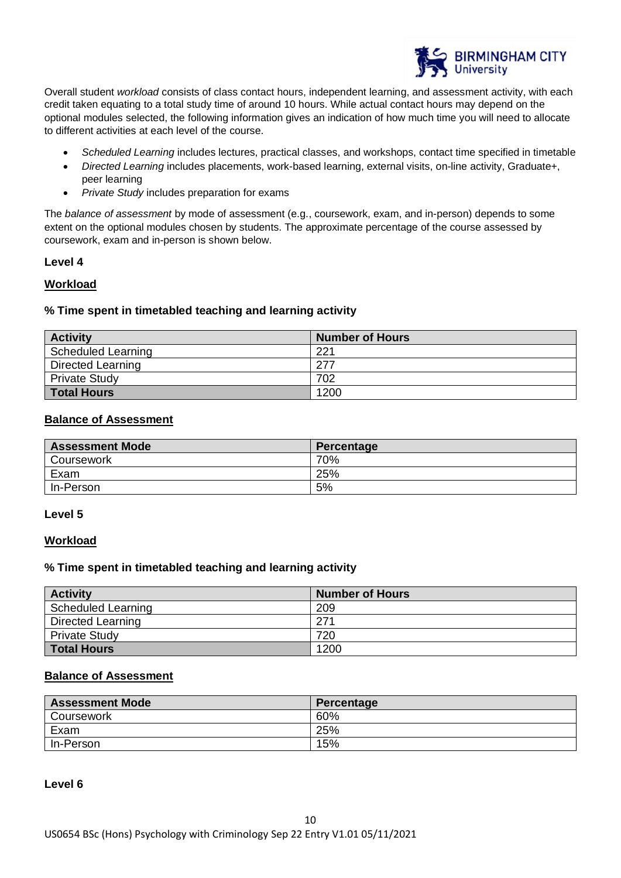

Overall student *workload* consists of class contact hours, independent learning, and assessment activity, with each credit taken equating to a total study time of around 10 hours. While actual contact hours may depend on the optional modules selected, the following information gives an indication of how much time you will need to allocate to different activities at each level of the course.

- *Scheduled Learning* includes lectures, practical classes, and workshops, contact time specified in timetable
- *Directed Learning* includes placements, work-based learning, external visits, on-line activity, Graduate+, peer learning
- *Private Study* includes preparation for exams

The *balance of assessment* by mode of assessment (e.g., coursework, exam, and in-person) depends to some extent on the optional modules chosen by students. The approximate percentage of the course assessed by coursework, exam and in-person is shown below.

## **Level 4**

## **Workload**

## **% Time spent in timetabled teaching and learning activity**

| <b>Activity</b>      | <b>Number of Hours</b> |
|----------------------|------------------------|
| Scheduled Learning   | 221                    |
| Directed Learning    | 277                    |
| <b>Private Study</b> | 702                    |
| <b>Total Hours</b>   | 1200                   |

## **Balance of Assessment**

| <b>Assessment Mode</b> | Percentage |
|------------------------|------------|
| Coursework             | 70%        |
| Exam                   | 25%        |
| In-Person              | 5%         |

## **Level 5**

## **Workload**

## **% Time spent in timetabled teaching and learning activity**

| <b>Activity</b>          | <b>Number of Hours</b> |
|--------------------------|------------------------|
| Scheduled Learning       | 209                    |
| <b>Directed Learning</b> | 271                    |
| <b>Private Study</b>     | 720                    |
| <b>Total Hours</b>       | 1200                   |

## **Balance of Assessment**

| <b>Assessment Mode</b> | Percentage |
|------------------------|------------|
| Coursework             | 60%        |
| Exam                   | 25%        |
| In-Person              | 15%        |

#### **Level 6**